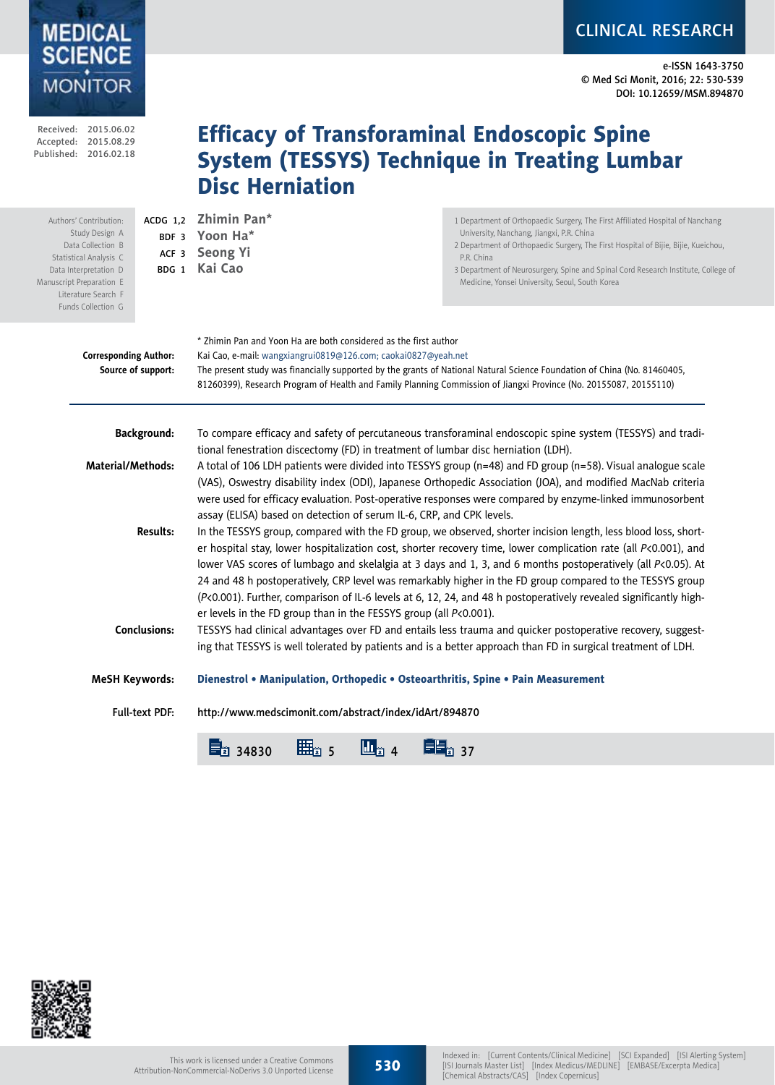e-ISSN 1643-3750 © Med Sci Monit, 2016; 22: 530-539 DOI: 10.12659/MSM.894870

CLINICAL RESEARCH

|                                                                                                            | Received: 2015.06.02<br>Accepted: 2015.08.29<br>Published: 2016.02.18                                                                                                                     |                              | <b>Disc Herniation</b>                                                                                                                                                                                                                                                                                                                                                                                                                                                                                                                                                                                                                                                                                                                                                                                                                                                                                                                                                                                                                                                     | <b>Efficacy of Transforaminal Endoscopic Spine</b><br><b>System (TESSYS) Technique in Treating Lumbar</b>                                                                                                                                                                                                                                                                |  |  |  |
|------------------------------------------------------------------------------------------------------------|-------------------------------------------------------------------------------------------------------------------------------------------------------------------------------------------|------------------------------|----------------------------------------------------------------------------------------------------------------------------------------------------------------------------------------------------------------------------------------------------------------------------------------------------------------------------------------------------------------------------------------------------------------------------------------------------------------------------------------------------------------------------------------------------------------------------------------------------------------------------------------------------------------------------------------------------------------------------------------------------------------------------------------------------------------------------------------------------------------------------------------------------------------------------------------------------------------------------------------------------------------------------------------------------------------------------|--------------------------------------------------------------------------------------------------------------------------------------------------------------------------------------------------------------------------------------------------------------------------------------------------------------------------------------------------------------------------|--|--|--|
|                                                                                                            | Authors' Contribution:<br>Study Design A<br>Data Collection B<br>Statistical Analysis C<br>Data Interpretation D<br>Manuscript Preparation E<br>Literature Search F<br>Funds Collection G | ACDG 1,2<br>BDF <sub>3</sub> | Zhimin Pan*<br>Yoon Ha*<br>ACF 3 Seong Yi<br>BDG 1 Kai Cao                                                                                                                                                                                                                                                                                                                                                                                                                                                                                                                                                                                                                                                                                                                                                                                                                                                                                                                                                                                                                 | 1 Department of Orthopaedic Surgery, The First Affiliated Hospital of Nanchang<br>University, Nanchang, Jiangxi, P.R. China<br>2 Department of Orthopaedic Surgery, The First Hospital of Bijie, Bijie, Kueichou,<br>P.R. China<br>3 Department of Neurosurgery, Spine and Spinal Cord Research Institute, College of<br>Medicine, Yonsei University, Seoul, South Korea |  |  |  |
| <b>Corresponding Author:</b><br>Source of support:                                                         |                                                                                                                                                                                           |                              | * Zhimin Pan and Yoon Ha are both considered as the first author<br>Kai Cao, e-mail: wangxiangrui0819@126.com; caokai0827@yeah.net<br>The present study was financially supported by the grants of National Natural Science Foundation of China (No. 81460405,<br>81260399), Research Program of Health and Family Planning Commission of Jiangxi Province (No. 20155087, 20155110)                                                                                                                                                                                                                                                                                                                                                                                                                                                                                                                                                                                                                                                                                        |                                                                                                                                                                                                                                                                                                                                                                          |  |  |  |
| <b>Background:</b><br>Material/Methods:<br><b>Results:</b><br><b>Conclusions:</b><br><b>MeSH Keywords:</b> |                                                                                                                                                                                           |                              | To compare efficacy and safety of percutaneous transforaminal endoscopic spine system (TESSYS) and tradi-<br>tional fenestration discectomy (FD) in treatment of lumbar disc herniation (LDH).                                                                                                                                                                                                                                                                                                                                                                                                                                                                                                                                                                                                                                                                                                                                                                                                                                                                             |                                                                                                                                                                                                                                                                                                                                                                          |  |  |  |
|                                                                                                            |                                                                                                                                                                                           |                              | A total of 106 LDH patients were divided into TESSYS group (n=48) and FD group (n=58). Visual analogue scale<br>(VAS), Oswestry disability index (ODI), Japanese Orthopedic Association (JOA), and modified MacNab criteria<br>were used for efficacy evaluation. Post-operative responses were compared by enzyme-linked immunosorbent<br>assay (ELISA) based on detection of serum IL-6, CRP, and CPK levels.<br>In the TESSYS group, compared with the FD group, we observed, shorter incision length, less blood loss, short-<br>er hospital stay, lower hospitalization cost, shorter recovery time, lower complication rate (all P<0.001), and<br>lower VAS scores of lumbago and skelalgia at 3 days and 1, 3, and 6 months postoperatively (all P<0.05). At<br>24 and 48 h postoperatively, CRP level was remarkably higher in the FD group compared to the TESSYS group<br>(P<0.001). Further, comparison of IL-6 levels at 6, 12, 24, and 48 h postoperatively revealed significantly high-<br>er levels in the FD group than in the FESSYS group (all P<0.001). |                                                                                                                                                                                                                                                                                                                                                                          |  |  |  |
|                                                                                                            |                                                                                                                                                                                           |                              |                                                                                                                                                                                                                                                                                                                                                                                                                                                                                                                                                                                                                                                                                                                                                                                                                                                                                                                                                                                                                                                                            |                                                                                                                                                                                                                                                                                                                                                                          |  |  |  |
|                                                                                                            |                                                                                                                                                                                           |                              | TESSYS had clinical advantages over FD and entails less trauma and quicker postoperative recovery, suggest-<br>ing that TESSYS is well tolerated by patients and is a better approach than FD in surgical treatment of LDH.                                                                                                                                                                                                                                                                                                                                                                                                                                                                                                                                                                                                                                                                                                                                                                                                                                                |                                                                                                                                                                                                                                                                                                                                                                          |  |  |  |
|                                                                                                            |                                                                                                                                                                                           |                              | Dienestrol • Manipulation, Orthopedic • Osteoarthritis, Spine • Pain Measurement                                                                                                                                                                                                                                                                                                                                                                                                                                                                                                                                                                                                                                                                                                                                                                                                                                                                                                                                                                                           |                                                                                                                                                                                                                                                                                                                                                                          |  |  |  |
|                                                                                                            |                                                                                                                                                                                           | <b>Full-text PDF:</b>        | http://www.medscimonit.com/abstract/index/idArt/894870                                                                                                                                                                                                                                                                                                                                                                                                                                                                                                                                                                                                                                                                                                                                                                                                                                                                                                                                                                                                                     |                                                                                                                                                                                                                                                                                                                                                                          |  |  |  |
|                                                                                                            |                                                                                                                                                                                           |                              | 目1 34830                                                                                                                                                                                                                                                                                                                                                                                                                                                                                                                                                                                                                                                                                                                                                                                                                                                                                                                                                                                                                                                                   | 旨, 37                                                                                                                                                                                                                                                                                                                                                                    |  |  |  |



MEDICAL<br>SCIENCE<br>MONITOR

530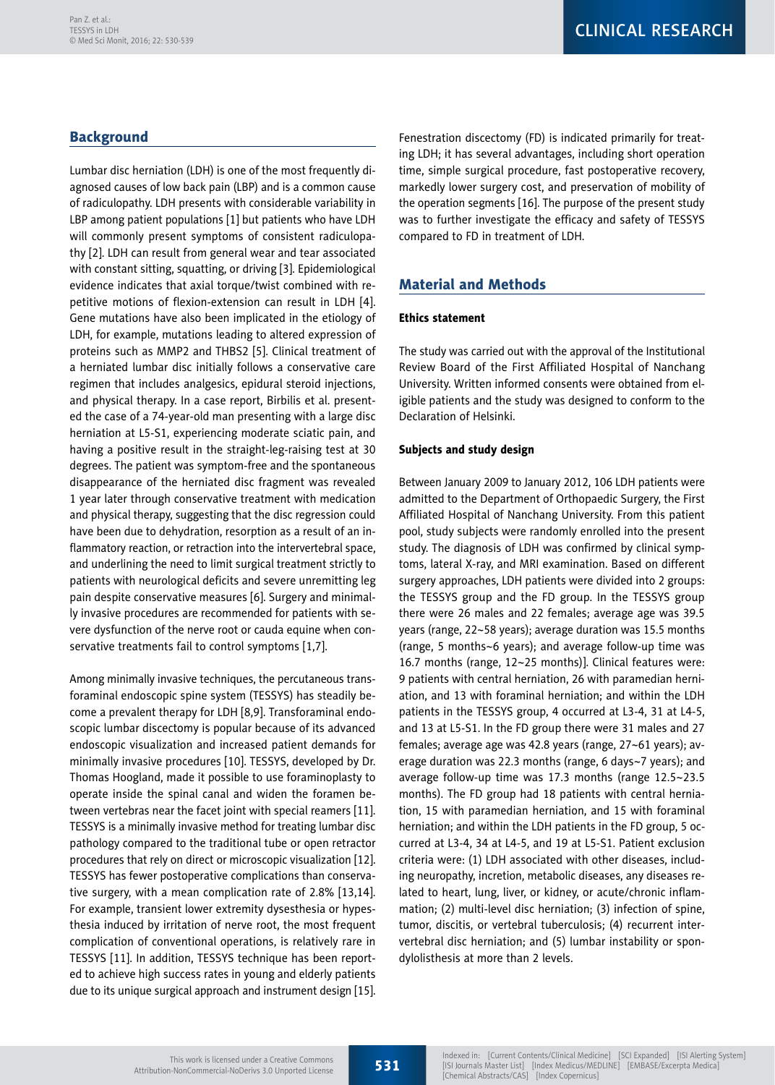# **Background**

Lumbar disc herniation (LDH) is one of the most frequently diagnosed causes of low back pain (LBP) and is a common cause of radiculopathy. LDH presents with considerable variability in LBP among patient populations [1] but patients who have LDH will commonly present symptoms of consistent radiculopathy [2]. LDH can result from general wear and tear associated with constant sitting, squatting, or driving [3]. Epidemiological evidence indicates that axial torque/twist combined with repetitive motions of flexion-extension can result in LDH [4]. Gene mutations have also been implicated in the etiology of LDH, for example, mutations leading to altered expression of proteins such as MMP2 and THBS2 [5]. Clinical treatment of a herniated lumbar disc initially follows a conservative care regimen that includes analgesics, epidural steroid injections, and physical therapy. In a case report, Birbilis et al. presented the case of a 74-year-old man presenting with a large disc herniation at L5-S1, experiencing moderate sciatic pain, and having a positive result in the straight-leg-raising test at 30 degrees. The patient was symptom-free and the spontaneous disappearance of the herniated disc fragment was revealed 1 year later through conservative treatment with medication and physical therapy, suggesting that the disc regression could have been due to dehydration, resorption as a result of an inflammatory reaction, or retraction into the intervertebral space, and underlining the need to limit surgical treatment strictly to patients with neurological deficits and severe unremitting leg pain despite conservative measures [6]. Surgery and minimally invasive procedures are recommended for patients with severe dysfunction of the nerve root or cauda equine when conservative treatments fail to control symptoms [1,7].

Among minimally invasive techniques, the percutaneous transforaminal endoscopic spine system (TESSYS) has steadily become a prevalent therapy for LDH [8,9]. Transforaminal endoscopic lumbar discectomy is popular because of its advanced endoscopic visualization and increased patient demands for minimally invasive procedures [10]. TESSYS, developed by Dr. Thomas Hoogland, made it possible to use foraminoplasty to operate inside the spinal canal and widen the foramen between vertebras near the facet joint with special reamers [11]. TESSYS is a minimally invasive method for treating lumbar disc pathology compared to the traditional tube or open retractor procedures that rely on direct or microscopic visualization [12]. TESSYS has fewer postoperative complications than conservative surgery, with a mean complication rate of 2.8% [13,14]. For example, transient lower extremity dysesthesia or hypesthesia induced by irritation of nerve root, the most frequent complication of conventional operations, is relatively rare in TESSYS [11]. In addition, TESSYS technique has been reported to achieve high success rates in young and elderly patients due to its unique surgical approach and instrument design [15].

Fenestration discectomy (FD) is indicated primarily for treating LDH; it has several advantages, including short operation time, simple surgical procedure, fast postoperative recovery, markedly lower surgery cost, and preservation of mobility of the operation segments [16]. The purpose of the present study was to further investigate the efficacy and safety of TESSYS compared to FD in treatment of LDH.

# Material and Methods

## Ethics statement

The study was carried out with the approval of the Institutional Review Board of the First Affiliated Hospital of Nanchang University. Written informed consents were obtained from eligible patients and the study was designed to conform to the Declaration of Helsinki.

## Subjects and study design

Between January 2009 to January 2012, 106 LDH patients were admitted to the Department of Orthopaedic Surgery, the First Affiliated Hospital of Nanchang University. From this patient pool, study subjects were randomly enrolled into the present study. The diagnosis of LDH was confirmed by clinical symptoms, lateral X-ray, and MRI examination. Based on different surgery approaches, LDH patients were divided into 2 groups: the TESSYS group and the FD group. In the TESSYS group there were 26 males and 22 females; average age was 39.5 years (range, 22~58 years); average duration was 15.5 months (range, 5 months~6 years); and average follow-up time was 16.7 months (range, 12~25 months)]. Clinical features were: 9 patients with central herniation, 26 with paramedian herniation, and 13 with foraminal herniation; and within the LDH patients in the TESSYS group, 4 occurred at L3-4, 31 at L4-5, and 13 at L5-S1. In the FD group there were 31 males and 27 females; average age was 42.8 years (range, 27~61 years); average duration was 22.3 months (range, 6 days~7 years); and average follow-up time was 17.3 months (range 12.5~23.5 months). The FD group had 18 patients with central herniation, 15 with paramedian herniation, and 15 with foraminal herniation; and within the LDH patients in the FD group, 5 occurred at L3-4, 34 at L4-5, and 19 at L5-S1. Patient exclusion criteria were: (1) LDH associated with other diseases, including neuropathy, incretion, metabolic diseases, any diseases related to heart, lung, liver, or kidney, or acute/chronic inflammation; (2) multi-level disc herniation; (3) infection of spine, tumor, discitis, or vertebral tuberculosis; (4) recurrent intervertebral disc herniation; and (5) lumbar instability or spondylolisthesis at more than 2 levels.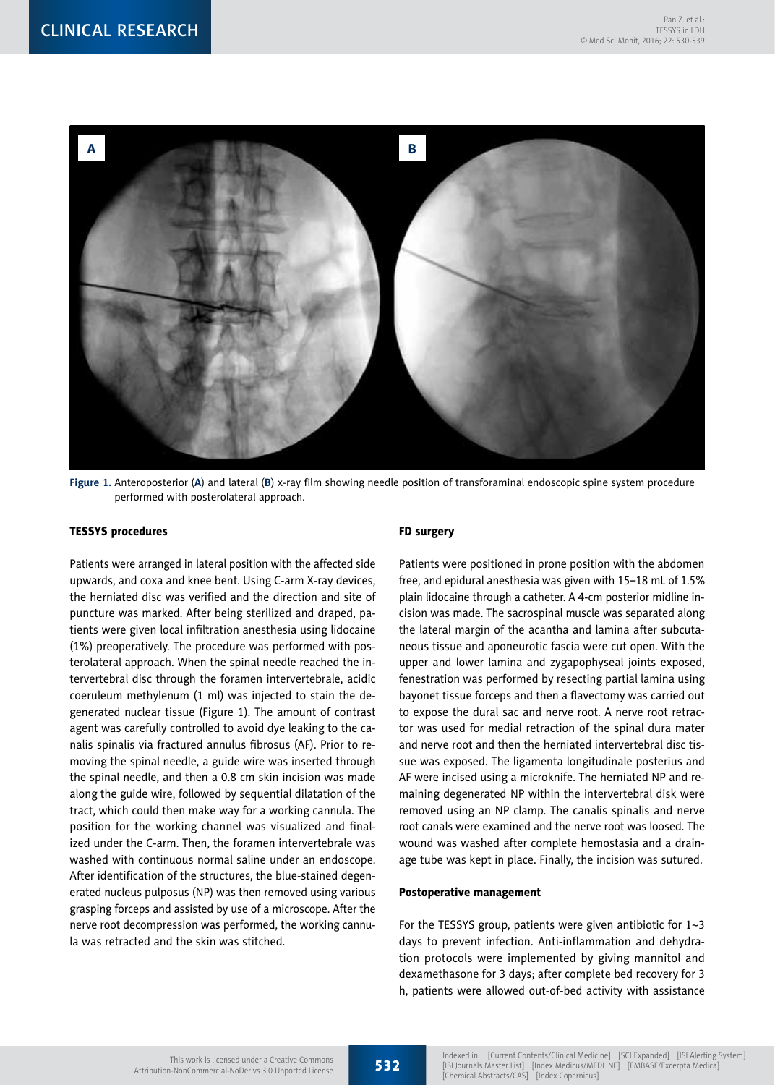

**Figure 1.** Anteroposterior (**A**) and lateral (**B**) x-ray film showing needle position of transforaminal endoscopic spine system procedure performed with posterolateral approach.

#### TESSYS procedures

Patients were arranged in lateral position with the affected side upwards, and coxa and knee bent. Using C-arm X-ray devices, the herniated disc was verified and the direction and site of puncture was marked. After being sterilized and draped, patients were given local infiltration anesthesia using lidocaine (1%) preoperatively. The procedure was performed with posterolateral approach. When the spinal needle reached the intervertebral disc through the foramen intervertebrale, acidic coeruleum methylenum (1 ml) was injected to stain the degenerated nuclear tissue (Figure 1). The amount of contrast agent was carefully controlled to avoid dye leaking to the canalis spinalis via fractured annulus fibrosus (AF). Prior to removing the spinal needle, a guide wire was inserted through the spinal needle, and then a 0.8 cm skin incision was made along the guide wire, followed by sequential dilatation of the tract, which could then make way for a working cannula. The position for the working channel was visualized and finalized under the C-arm. Then, the foramen intervertebrale was washed with continuous normal saline under an endoscope. After identification of the structures, the blue-stained degenerated nucleus pulposus (NP) was then removed using various grasping forceps and assisted by use of a microscope. After the nerve root decompression was performed, the working cannula was retracted and the skin was stitched.

#### FD surgery

Patients were positioned in prone position with the abdomen free, and epidural anesthesia was given with 15–18 mL of 1.5% plain lidocaine through a catheter. A 4-cm posterior midline incision was made. The sacrospinal muscle was separated along the lateral margin of the acantha and lamina after subcutaneous tissue and aponeurotic fascia were cut open. With the upper and lower lamina and zygapophyseal joints exposed, fenestration was performed by resecting partial lamina using bayonet tissue forceps and then a flavectomy was carried out to expose the dural sac and nerve root. A nerve root retractor was used for medial retraction of the spinal dura mater and nerve root and then the herniated intervertebral disc tissue was exposed. The ligamenta longitudinale posterius and AF were incised using a microknife. The herniated NP and remaining degenerated NP within the intervertebral disk were removed using an NP clamp. The canalis spinalis and nerve root canals were examined and the nerve root was loosed. The wound was washed after complete hemostasia and a drainage tube was kept in place. Finally, the incision was sutured.

#### Postoperative management

For the TESSYS group, patients were given antibiotic for 1~3 days to prevent infection. Anti-inflammation and dehydration protocols were implemented by giving mannitol and dexamethasone for 3 days; after complete bed recovery for 3 h, patients were allowed out-of-bed activity with assistance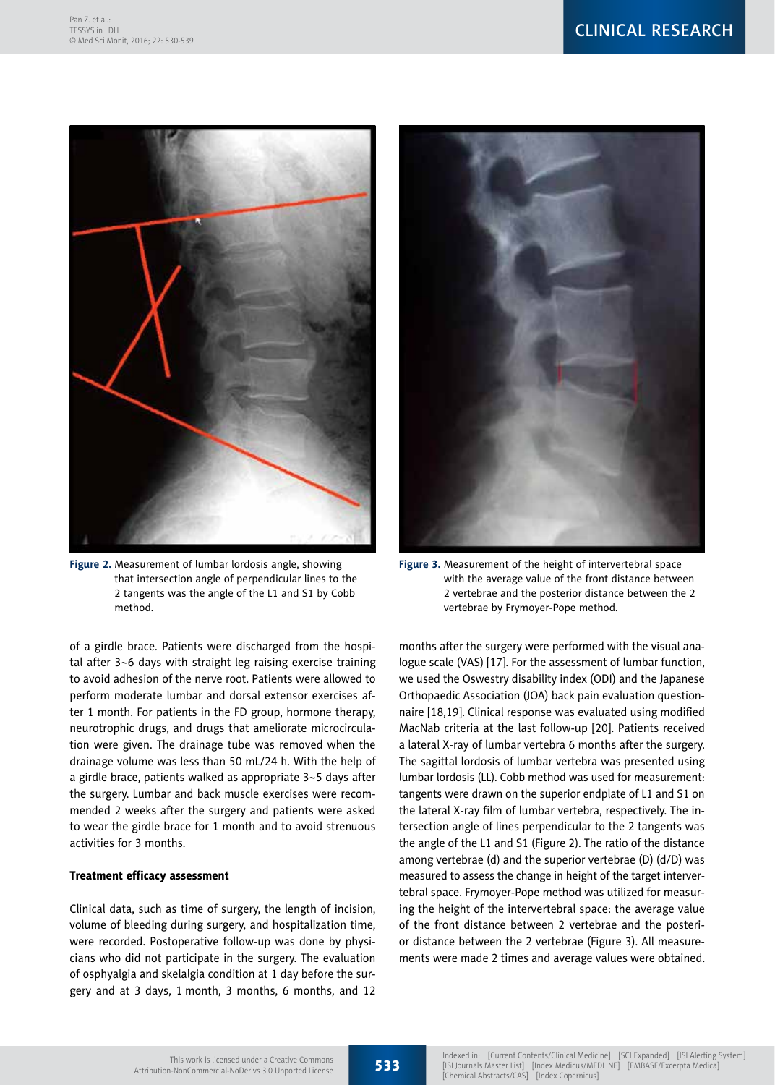

**Figure 2.** Measurement of lumbar lordosis angle, showing that intersection angle of perpendicular lines to the 2 tangents was the angle of the L1 and S1 by Cobb method.

of a girdle brace. Patients were discharged from the hospital after 3~6 days with straight leg raising exercise training to avoid adhesion of the nerve root. Patients were allowed to perform moderate lumbar and dorsal extensor exercises after 1 month. For patients in the FD group, hormone therapy, neurotrophic drugs, and drugs that ameliorate microcirculation were given. The drainage tube was removed when the drainage volume was less than 50 mL/24 h. With the help of a girdle brace, patients walked as appropriate 3~5 days after the surgery. Lumbar and back muscle exercises were recommended 2 weeks after the surgery and patients were asked to wear the girdle brace for 1 month and to avoid strenuous activities for 3 months.

### Treatment efficacy assessment

Clinical data, such as time of surgery, the length of incision, volume of bleeding during surgery, and hospitalization time, were recorded. Postoperative follow-up was done by physicians who did not participate in the surgery. The evaluation of osphyalgia and skelalgia condition at 1 day before the surgery and at 3 days, 1 month, 3 months, 6 months, and 12



**Figure 3.** Measurement of the height of intervertebral space with the average value of the front distance between 2 vertebrae and the posterior distance between the 2 vertebrae by Frymoyer-Pope method.

months after the surgery were performed with the visual analogue scale (VAS) [17]. For the assessment of lumbar function, we used the Oswestry disability index (ODI) and the Japanese Orthopaedic Association (JOA) back pain evaluation questionnaire [18,19]. Clinical response was evaluated using modified MacNab criteria at the last follow-up [20]. Patients received a lateral X-ray of lumbar vertebra 6 months after the surgery. The sagittal lordosis of lumbar vertebra was presented using lumbar lordosis (LL). Cobb method was used for measurement: tangents were drawn on the superior endplate of L1 and S1 on the lateral X-ray film of lumbar vertebra, respectively. The intersection angle of lines perpendicular to the 2 tangents was the angle of the L1 and S1 (Figure 2). The ratio of the distance among vertebrae (d) and the superior vertebrae (D) (d/D) was measured to assess the change in height of the target intervertebral space. Frymoyer-Pope method was utilized for measuring the height of the intervertebral space: the average value of the front distance between 2 vertebrae and the posterior distance between the 2 vertebrae (Figure 3). All measurements were made 2 times and average values were obtained.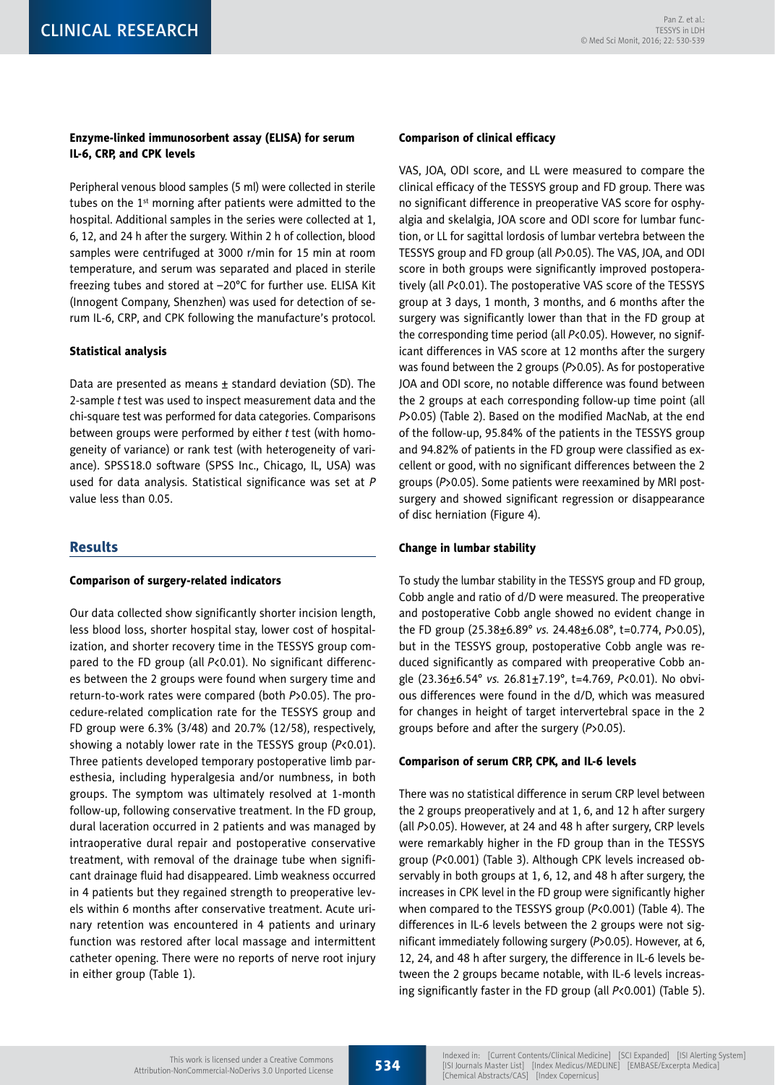# Enzyme-linked immunosorbent assay (ELISA) for serum IL-6, CRP, and CPK levels

Peripheral venous blood samples (5 ml) were collected in sterile tubes on the 1<sup>st</sup> morning after patients were admitted to the hospital. Additional samples in the series were collected at 1, 6, 12, and 24 h after the surgery. Within 2 h of collection, blood samples were centrifuged at 3000 r/min for 15 min at room temperature, and serum was separated and placed in sterile freezing tubes and stored at –20°C for further use. ELISA Kit (Innogent Company, Shenzhen) was used for detection of serum IL-6, CRP, and CPK following the manufacture's protocol.

## Statistical analysis

Data are presented as means  $\pm$  standard deviation (SD). The 2-sample *t* test was used to inspect measurement data and the chi-square test was performed for data categories. Comparisons between groups were performed by either *t* test (with homogeneity of variance) or rank test (with heterogeneity of variance). SPSS18.0 software (SPSS Inc., Chicago, IL, USA) was used for data analysis. Statistical significance was set at *P*  value less than 0.05.

### Results

#### Comparison of surgery-related indicators

Our data collected show significantly shorter incision length, less blood loss, shorter hospital stay, lower cost of hospitalization, and shorter recovery time in the TESSYS group compared to the FD group (all *P*<0.01). No significant differences between the 2 groups were found when surgery time and return-to-work rates were compared (both *P*>0.05). The procedure-related complication rate for the TESSYS group and FD group were 6.3% (3/48) and 20.7% (12/58), respectively, showing a notably lower rate in the TESSYS group (*P*<0.01). Three patients developed temporary postoperative limb paresthesia, including hyperalgesia and/or numbness, in both groups. The symptom was ultimately resolved at 1-month follow-up, following conservative treatment. In the FD group, dural laceration occurred in 2 patients and was managed by intraoperative dural repair and postoperative conservative treatment, with removal of the drainage tube when significant drainage fluid had disappeared. Limb weakness occurred in 4 patients but they regained strength to preoperative levels within 6 months after conservative treatment. Acute urinary retention was encountered in 4 patients and urinary function was restored after local massage and intermittent catheter opening. There were no reports of nerve root injury in either group (Table 1).

#### Comparison of clinical efficacy

VAS, JOA, ODI score, and LL were measured to compare the clinical efficacy of the TESSYS group and FD group. There was no significant difference in preoperative VAS score for osphyalgia and skelalgia, JOA score and ODI score for lumbar function, or LL for sagittal lordosis of lumbar vertebra between the TESSYS group and FD group (all *P*>0.05). The VAS, JOA, and ODI score in both groups were significantly improved postoperatively (all *P*<0.01). The postoperative VAS score of the TESSYS group at 3 days, 1 month, 3 months, and 6 months after the surgery was significantly lower than that in the FD group at the corresponding time period (all *P*<0.05). However, no significant differences in VAS score at 12 months after the surgery was found between the 2 groups (*P*>0.05). As for postoperative JOA and ODI score, no notable difference was found between the 2 groups at each corresponding follow-up time point (all *P*>0.05) (Table 2). Based on the modified MacNab, at the end of the follow-up, 95.84% of the patients in the TESSYS group and 94.82% of patients in the FD group were classified as excellent or good, with no significant differences between the 2 groups (*P*>0.05). Some patients were reexamined by MRI postsurgery and showed significant regression or disappearance of disc herniation (Figure 4).

#### Change in lumbar stability

To study the lumbar stability in the TESSYS group and FD group, Cobb angle and ratio of d/D were measured. The preoperative and postoperative Cobb angle showed no evident change in the FD group (25.38±6.89° *vs.* 24.48±6.08°, t=0.774, *P*>0.05), but in the TESSYS group, postoperative Cobb angle was reduced significantly as compared with preoperative Cobb angle (23.36±6.54° *vs.* 26.81±7.19°, t=4.769, *P*<0.01). No obvious differences were found in the d/D, which was measured for changes in height of target intervertebral space in the 2 groups before and after the surgery (*P*>0.05).

#### Comparison of serum CRP, CPK, and IL-6 levels

There was no statistical difference in serum CRP level between the 2 groups preoperatively and at 1, 6, and 12 h after surgery (all *P*>0.05). However, at 24 and 48 h after surgery, CRP levels were remarkably higher in the FD group than in the TESSYS group (*P*<0.001) (Table 3). Although CPK levels increased observably in both groups at 1, 6, 12, and 48 h after surgery, the increases in CPK level in the FD group were significantly higher when compared to the TESSYS group (*P*<0.001) (Table 4). The differences in IL-6 levels between the 2 groups were not significant immediately following surgery (*P*>0.05). However, at 6, 12, 24, and 48 h after surgery, the difference in IL-6 levels between the 2 groups became notable, with IL-6 levels increasing significantly faster in the FD group (all *P*<0.001) (Table 5).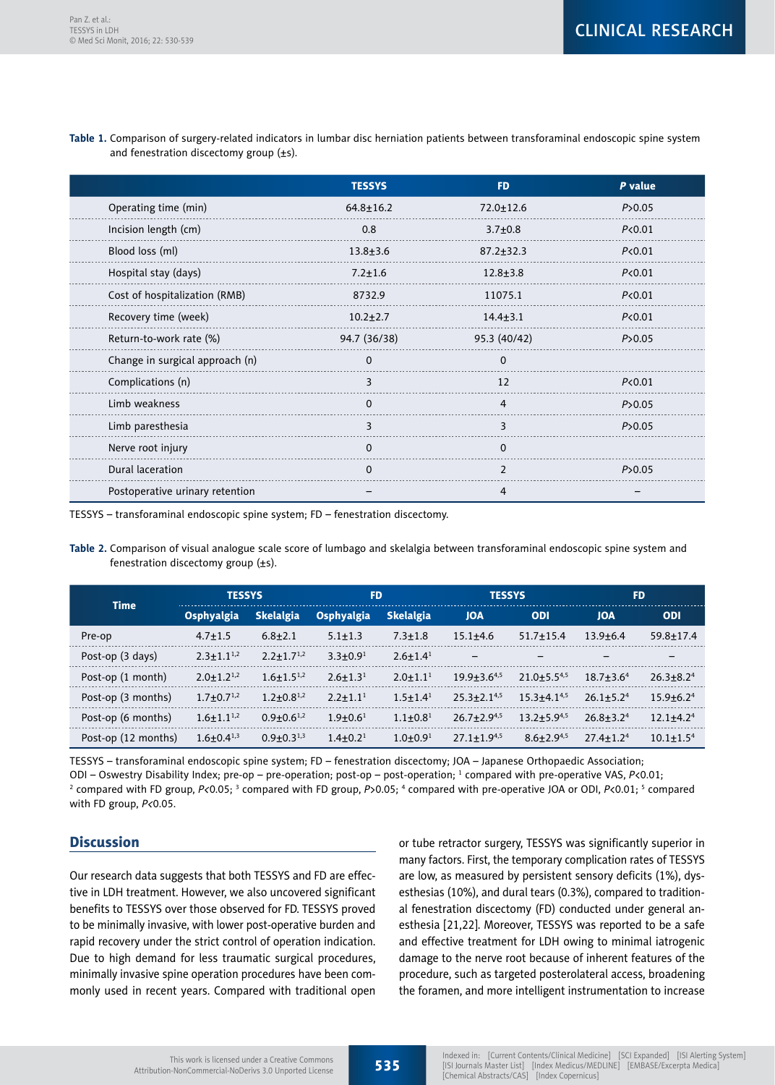|                                 | <b>TESSYS</b>   | <b>FD</b>       | P value           |
|---------------------------------|-----------------|-----------------|-------------------|
| Operating time (min)            | $64.8 \pm 16.2$ | $72.0 \pm 12.6$ | P > 0.05          |
| Incision length (cm)            | 0.8             | $3.7 + 0.8$     | P <sub>0.01</sub> |
| Blood loss (ml)                 | $13.8 + 3.6$    | $87.2 \pm 32.3$ | P < 0.01          |
| Hospital stay (days)            | $7.2 \pm 1.6$   | $12.8 + 3.8$    | P <sub>0.01</sub> |
| Cost of hospitalization (RMB)   | 8732.9          | 11075.1         | P < 0.01          |
| Recovery time (week)            | $10.2 + 2.7$    | $14.4 + 3.1$    | P < 0.01          |
| Return-to-work rate (%)         | 94.7 (36/38)    | 95.3 (40/42)    | P > 0.05          |
| Change in surgical approach (n) | $\Omega$        | <sup>n</sup>    |                   |
| Complications (n)               | 3               | 12              | P <sub>0.01</sub> |
| Limb weakness                   | $\Omega$        | 4               | P > 0.05          |
| Limb paresthesia                | 3               | 3               | P > 0.05          |
| Nerve root injury               | $\Omega$        | $\Omega$        |                   |
| Dural laceration                | $\Omega$        | 2               | P > 0.05          |
| Postoperative urinary retention |                 | 4               |                   |

**Table 1.** Comparison of surgery-related indicators in lumbar disc herniation patients between transforaminal endoscopic spine system and fenestration discectomy group (±s).

TESSYS – transforaminal endoscopic spine system; FD – fenestration discectomy.

**Table 2.** Comparison of visual analogue scale score of lumbago and skelalgia between transforaminal endoscopic spine system and fenestration discectomy group  $(\pm s)$ .

|                     | <b>TESSYS</b>       |                   | <b>FD</b>         |                            | <b>TESSYS</b>      |                          | <b>FD</b>     |                 |
|---------------------|---------------------|-------------------|-------------------|----------------------------|--------------------|--------------------------|---------------|-----------------|
| <b>Time</b>         | Osphyalgia          | <b>Skelalgia</b>  | Osphyalgia        | <b>Skelalgia</b>           | <b>JOA</b>         | <b>ODI</b>               | <b>JOA</b>    | <b>ODI</b>      |
| Pre-op              | $4.7 \pm 1.5$       | $6.8 + 2.1$       | $5.1 \pm 1.3$     | $7.3 + 1.8$                | $15.1 + 4.6$       | $51.7 + 15.4$            | $13.9 + 6.4$  | $59.8 \pm 17.4$ |
| Post-op (3 days)    | $2.3 + 1.1^{1,2}$   | $2.2 + 1.7^{1,2}$ | $3.3 \pm 0.9^1$   | $2.6 \pm 1.4$ <sup>1</sup> | -                  | $\overline{\phantom{0}}$ | -             | -               |
| Post-op (1 month)   | $2.0+1.2^{1,2}$     | $1.6 + 1.5^{1,2}$ | $2.6 \pm 1.3^{1}$ | $2.0 \pm 1.1$ <sup>1</sup> | $19.9 + 3.6^{4.5}$ | $21.0 + 5.5^{4,5}$       | $18.7 + 3.64$ | $26.3 + 8.24$   |
| Post-op (3 months)  | $1.7 + 0.7^{1,2}$   | $1.2 + 0.8^{1,2}$ | $2.2 + 1.11$      | $1.5 + 1.41$               | $25.3 + 2.1^{4,5}$ | $15.3 + 4.1^{4,5}$       | $26.1 + 5.24$ | $15.9 + 6.24$   |
| Post-op (6 months)  | $1.6 \pm 1.1^{1,2}$ | $0.9 + 0.6^{1,2}$ | $1.9 + 0.61$      | $1.1 + 0.81$               | $26.7 + 2.9^{4.5}$ | $13.2 + 5.9^{4,5}$       | $26.8 + 3.24$ | $12.1 + 4.24$   |
| Post-op (12 months) | $1.6+0.4^{1,3}$     | $0.9 + 0.3^{1,3}$ | $1.4 \pm 0.2^1$   | $1.0 + 0.91$               | $27.1 + 1.9^{4.5}$ | $8.6 + 2.9^{4.5}$        | $27.4 + 1.24$ | $10.1 + 1.54$   |

TESSYS – transforaminal endoscopic spine system; FD – fenestration discectomy; JOA – Japanese Orthopaedic Association; ODI – Oswestry Disability Index; pre-op – pre-operation; post-op – post-operation; 1 compared with pre-operative VAS, *P*<0.01; <sup>2</sup> compared with FD group, P<0.05; <sup>3</sup> compared with FD group, P>0.05; <sup>4</sup> compared with pre-operative JOA or ODI, P<0.01; <sup>5</sup> compared with FD group, *P<*0.05.

# **Discussion**

Our research data suggests that both TESSYS and FD are effective in LDH treatment. However, we also uncovered significant benefits to TESSYS over those observed for FD. TESSYS proved to be minimally invasive, with lower post-operative burden and rapid recovery under the strict control of operation indication. Due to high demand for less traumatic surgical procedures, minimally invasive spine operation procedures have been commonly used in recent years. Compared with traditional open or tube retractor surgery, TESSYS was significantly superior in many factors. First, the temporary complication rates of TESSYS are low, as measured by persistent sensory deficits (1%), dysesthesias (10%), and dural tears (0.3%), compared to traditional fenestration discectomy (FD) conducted under general anesthesia [21,22]. Moreover, TESSYS was reported to be a safe and effective treatment for LDH owing to minimal iatrogenic damage to the nerve root because of inherent features of the procedure, such as targeted posterolateral access, broadening the foramen, and more intelligent instrumentation to increase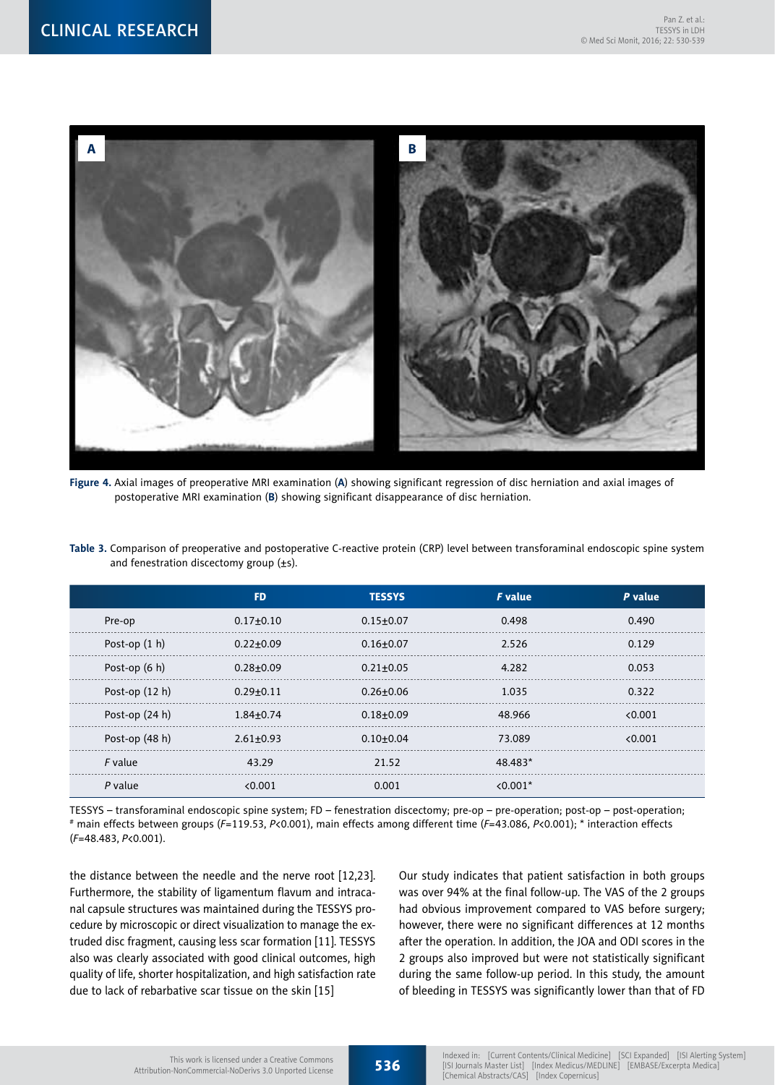

**Figure 4.** Axial images of preoperative MRI examination (**A**) showing significant regression of disc herniation and axial images of postoperative MRI examination (**B**) showing significant disappearance of disc herniation.

|                 | <b>FD</b>     | <b>TESSYS</b> | <b>F</b> value | P value |
|-----------------|---------------|---------------|----------------|---------|
| Pre-op          | $0.17 + 0.10$ | $0.15 + 0.07$ | 0.498          | 0.490   |
| Post-op $(1 h)$ | $0.22 + 0.09$ | $0.16 + 0.07$ | 2.526          | 0.129   |
| Post-op (6 h)   | $0.28 + 0.09$ | $0.21 + 0.05$ | 4.282          | 0.053   |
| Post-op (12 h)  | $0.29 + 0.11$ | $0.26 + 0.06$ | 1.035          | 0.322   |
| Post-op (24 h)  | $1.84 + 0.74$ | $0.18 + 0.09$ | 48.966         | 0.001   |
| Post-op (48 h)  | $2.61 + 0.93$ | $0.10 + 0.04$ | 73.089         | 0.001   |
| <i>F</i> value  | 43.29         | 21.52         | 48.483*        |         |
| P value         | < 0.001       | 0.001         | $< 0.001*$     |         |

**Table 3.** Comparison of preoperative and postoperative C-reactive protein (CRP) level between transforaminal endoscopic spine system and fenestration discectomy group  $(\pm s)$ .

TESSYS – transforaminal endoscopic spine system; FD – fenestration discectomy; pre-op – pre-operation; post-op – post-operation; # main effects between groups (*F*=119.53, *P*<0.001), main effects among different time (*F*=43.086, *P*<0.001); \* interaction effects (*F*=48.483, *P*<0.001).

the distance between the needle and the nerve root [12,23]. Furthermore, the stability of ligamentum flavum and intracanal capsule structures was maintained during the TESSYS procedure by microscopic or direct visualization to manage the extruded disc fragment, causing less scar formation [11]. TESSYS also was clearly associated with good clinical outcomes, high quality of life, shorter hospitalization, and high satisfaction rate due to lack of rebarbative scar tissue on the skin [15]

Our study indicates that patient satisfaction in both groups was over 94% at the final follow-up. The VAS of the 2 groups had obvious improvement compared to VAS before surgery; however, there were no significant differences at 12 months after the operation. In addition, the JOA and ODI scores in the 2 groups also improved but were not statistically significant during the same follow-up period. In this study, the amount of bleeding in TESSYS was significantly lower than that of FD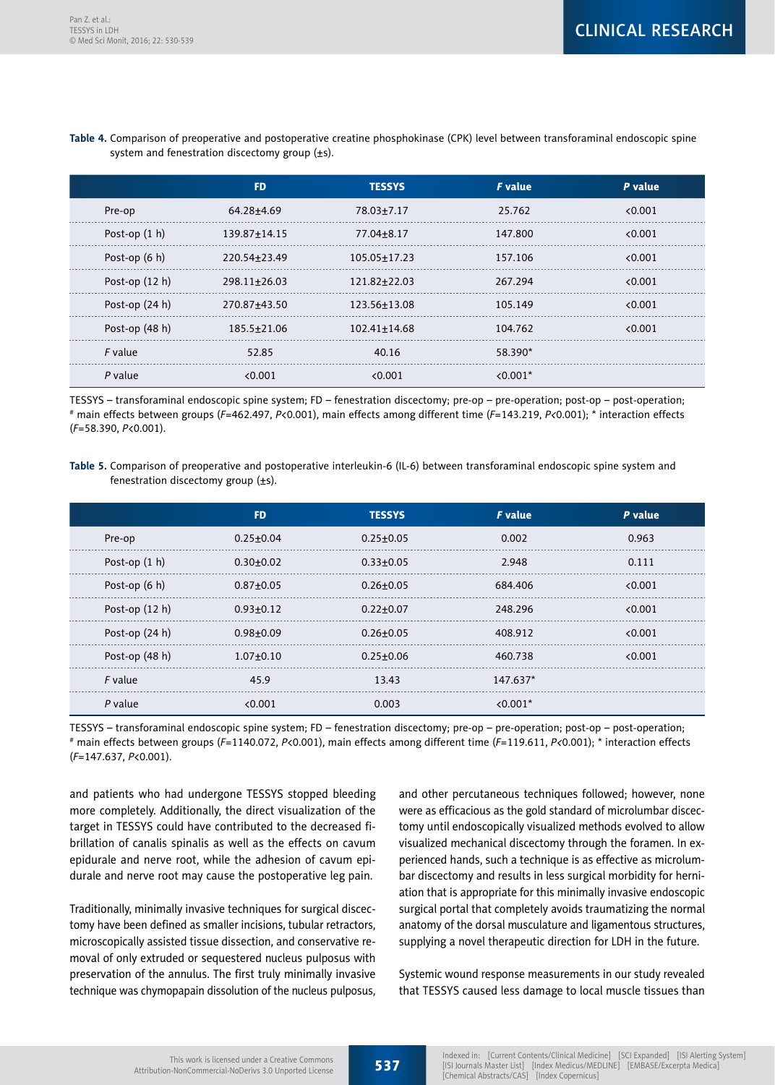|                  | <b>FD</b>          | <b>TESSYS</b>      | <b>F</b> value | P value |
|------------------|--------------------|--------------------|----------------|---------|
| Pre-op           | 64.28±4.69         | 78.03±7.17         | 25.762         | < 0.001 |
| Post-op $(1 h)$  | $139.87 \pm 14.15$ | 77.04±8.17         | 147.800        | 0.001   |
| Post-op $(6 h)$  | 220.54 + 23.49     | $105.05 \pm 17.23$ | 157.106        | 0.001   |
| Post-op $(12 h)$ | $298.11 \pm 26.03$ | 121.82+22.03       | 267.294        | 0.001   |
| Post-op $(24 h)$ | 270.87±43.50       | 123.56+13.08       | 105.149        | 0.001   |
| Post-op (48 h)   | 185.5±21.06        | $102.41 \pm 14.68$ | 104.762        | 0.001   |
| <i>F</i> value   | 52.85              | 40.16              | 58.390*        |         |
| P value          | < 0.001            | 0.001              | $< 0.001*$     |         |

**Table 4.** Comparison of preoperative and postoperative creatine phosphokinase (CPK) level between transforaminal endoscopic spine system and fenestration discectomy group  $(\pm s)$ .

TESSYS – transforaminal endoscopic spine system; FD – fenestration discectomy; pre-op – pre-operation; post-op – post-operation; # main effects between groups (*F*=462.497, *P*<0.001), main effects among different time (*F*=143.219, *P<*0.001); \* interaction effects (*F*=58.390, *P*<0.001).

**Table 5.** Comparison of preoperative and postoperative interleukin-6 (IL-6) between transforaminal endoscopic spine system and fenestration discectomy group  $(\pm s)$ .

|                  | <b>FD</b>       | <b>TESSYS</b>   | <b>F</b> value | P value |
|------------------|-----------------|-----------------|----------------|---------|
| Pre-op           | $0.25 \pm 0.04$ | $0.25 \pm 0.05$ | 0.002          | 0.963   |
| Post-op $(1 h)$  | $0.30 + 0.02$   | $0.33 + 0.05$   | 2.948          | 0.111   |
| Post-op (6 h)    | $0.87 + 0.05$   | $0.26 + 0.05$   | 684.406        | 0.001   |
| Post-op $(12 h)$ | $0.93 + 0.12$   | $0.22 + 0.07$   | 248.296        | 0.001   |
| Post-op $(24 h)$ | $0.98 + 0.09$   | $0.26 + 0.05$   | 408.912        | 0.001   |
| Post-op (48 h)   | $1.07 + 0.10$   | $0.25 + 0.06$   | 460.738        | < 0.001 |
| F value          | 45.9            | 13.43           | $147.637*$     |         |
| $P$ value        | < 0.001         | 0.003           | $< 0.001*$     |         |

TESSYS – transforaminal endoscopic spine system; FD – fenestration discectomy; pre-op – pre-operation; post-op – post-operation; # main effects between groups (*F*=1140.072, *P*<0.001), main effects among different time (*F*=119.611, *P<*0.001); \* interaction effects (*F*=147.637, *P*<0.001).

and patients who had undergone TESSYS stopped bleeding more completely. Additionally, the direct visualization of the target in TESSYS could have contributed to the decreased fibrillation of canalis spinalis as well as the effects on cavum epidurale and nerve root, while the adhesion of cavum epidurale and nerve root may cause the postoperative leg pain.

Traditionally, minimally invasive techniques for surgical discectomy have been defined as smaller incisions, tubular retractors, microscopically assisted tissue dissection, and conservative removal of only extruded or sequestered nucleus pulposus with preservation of the annulus. The first truly minimally invasive technique was chymopapain dissolution of the nucleus pulposus,

and other percutaneous techniques followed; however, none were as efficacious as the gold standard of microlumbar discectomy until endoscopically visualized methods evolved to allow visualized mechanical discectomy through the foramen. In experienced hands, such a technique is as effective as microlumbar discectomy and results in less surgical morbidity for herniation that is appropriate for this minimally invasive endoscopic surgical portal that completely avoids traumatizing the normal anatomy of the dorsal musculature and ligamentous structures, supplying a novel therapeutic direction for LDH in the future.

Systemic wound response measurements in our study revealed that TESSYS caused less damage to local muscle tissues than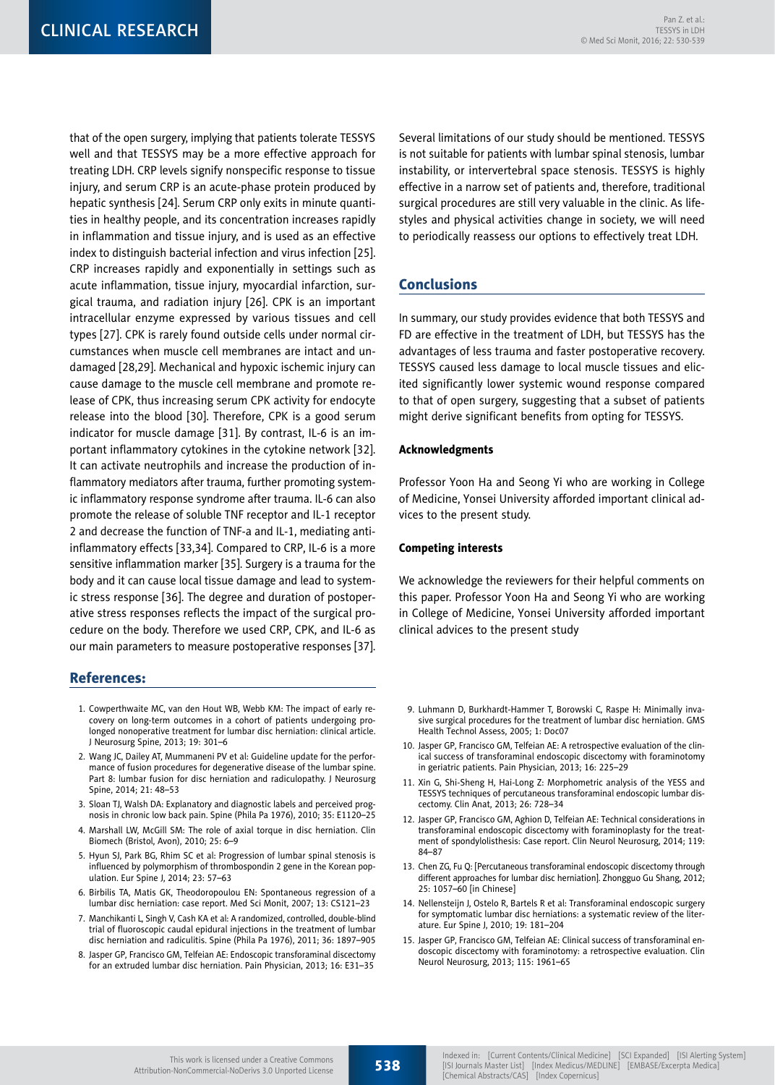that of the open surgery, implying that patients tolerate TESSYS well and that TESSYS may be a more effective approach for treating LDH. CRP levels signify nonspecific response to tissue injury, and serum CRP is an acute-phase protein produced by hepatic synthesis [24]. Serum CRP only exits in minute quantities in healthy people, and its concentration increases rapidly in inflammation and tissue injury, and is used as an effective index to distinguish bacterial infection and virus infection [25]. CRP increases rapidly and exponentially in settings such as acute inflammation, tissue injury, myocardial infarction, surgical trauma, and radiation injury [26]. CPK is an important intracellular enzyme expressed by various tissues and cell types [27]. CPK is rarely found outside cells under normal circumstances when muscle cell membranes are intact and undamaged [28,29]. Mechanical and hypoxic ischemic injury can cause damage to the muscle cell membrane and promote release of CPK, thus increasing serum CPK activity for endocyte release into the blood [30]. Therefore, CPK is a good serum indicator for muscle damage [31]. By contrast, IL-6 is an important inflammatory cytokines in the cytokine network [32]. It can activate neutrophils and increase the production of inflammatory mediators after trauma, further promoting systemic inflammatory response syndrome after trauma. IL-6 can also promote the release of soluble TNF receptor and IL-1 receptor 2 and decrease the function of TNF-a and IL-1, mediating antiinflammatory effects [33,34]. Compared to CRP, IL-6 is a more sensitive inflammation marker [35]. Surgery is a trauma for the body and it can cause local tissue damage and lead to systemic stress response [36]. The degree and duration of postoperative stress responses reflects the impact of the surgical procedure on the body. Therefore we used CRP, CPK, and IL-6 as our main parameters to measure postoperative responses [37].

# References:

- 1. Cowperthwaite MC, van den Hout WB, Webb KM: The impact of early recovery on long-term outcomes in a cohort of patients undergoing prolonged nonoperative treatment for lumbar disc herniation: clinical article. J Neurosurg Spine, 2013; 19: 301–6
- 2. Wang JC, Dailey AT, Mummaneni PV et al: Guideline update for the performance of fusion procedures for degenerative disease of the lumbar spine. Part 8: lumbar fusion for disc herniation and radiculopathy. J Neurosurg Spine, 2014; 21: 48–53
- 3. Sloan TJ, Walsh DA: Explanatory and diagnostic labels and perceived prognosis in chronic low back pain. Spine (Phila Pa 1976), 2010; 35: E1120–25
- 4. Marshall LW, McGill SM: The role of axial torque in disc herniation. Clin Biomech (Bristol, Avon), 2010; 25: 6–9
- 5. Hyun SJ, Park BG, Rhim SC et al: Progression of lumbar spinal stenosis is influenced by polymorphism of thrombospondin 2 gene in the Korean population. Eur Spine J, 2014; 23: 57–63
- 6. Birbilis TA, Matis GK, Theodoropoulou EN: Spontaneous regression of a lumbar disc herniation: case report. Med Sci Monit, 2007; 13: CS121–23
- 7. Manchikanti L, Singh V, Cash KA et al: A randomized, controlled, double-blind trial of fluoroscopic caudal epidural injections in the treatment of lumbar disc herniation and radiculitis. Spine (Phila Pa 1976), 2011; 36: 1897–905
- 8. Jasper GP, Francisco GM, Telfeian AE: Endoscopic transforaminal discectomy for an extruded lumbar disc herniation. Pain Physician, 2013; 16: E31–35

Several limitations of our study should be mentioned. TESSYS is not suitable for patients with lumbar spinal stenosis, lumbar instability, or intervertebral space stenosis. TESSYS is highly effective in a narrow set of patients and, therefore, traditional surgical procedures are still very valuable in the clinic. As lifestyles and physical activities change in society, we will need to periodically reassess our options to effectively treat LDH.

# Conclusions

In summary, our study provides evidence that both TESSYS and FD are effective in the treatment of LDH, but TESSYS has the advantages of less trauma and faster postoperative recovery. TESSYS caused less damage to local muscle tissues and elicited significantly lower systemic wound response compared to that of open surgery, suggesting that a subset of patients might derive significant benefits from opting for TESSYS.

### Acknowledgments

Professor Yoon Ha and Seong Yi who are working in College of Medicine, Yonsei University afforded important clinical advices to the present study.

#### Competing interests

We acknowledge the reviewers for their helpful comments on this paper. Professor Yoon Ha and Seong Yi who are working in College of Medicine, Yonsei University afforded important clinical advices to the present study

- 9. Luhmann D, Burkhardt-Hammer T, Borowski C, Raspe H: Minimally invasive surgical procedures for the treatment of lumbar disc herniation. GMS Health Technol Assess, 2005; 1: Doc07
- 10. Jasper GP, Francisco GM, Telfeian AE: A retrospective evaluation of the clinical success of transforaminal endoscopic discectomy with foraminotomy in geriatric patients. Pain Physician, 2013; 16: 225–29
- 11. Xin G, Shi-Sheng H, Hai-Long Z: Morphometric analysis of the YESS and TESSYS techniques of percutaneous transforaminal endoscopic lumbar discectomy. Clin Anat, 2013; 26: 728–34
- 12. Jasper GP, Francisco GM, Aghion D, Telfeian AE: Technical considerations in transforaminal endoscopic discectomy with foraminoplasty for the treatment of spondylolisthesis: Case report. Clin Neurol Neurosurg, 2014; 119: 84–87
- 13. Chen ZG, Fu Q: [Percutaneous transforaminal endoscopic discectomy through different approaches for lumbar disc herniation]. Zhongguo Gu Shang, 2012; 25: 1057–60 [in Chinese]
- 14. Nellensteijn J, Ostelo R, Bartels R et al: Transforaminal endoscopic surgery for symptomatic lumbar disc herniations: a systematic review of the literature. Eur Spine J, 2010; 19: 181–204
- 15. Jasper GP, Francisco GM, Telfeian AE: Clinical success of transforaminal endoscopic discectomy with foraminotomy: a retrospective evaluation. Clin Neurol Neurosurg, 2013; 115: 1961–65

538